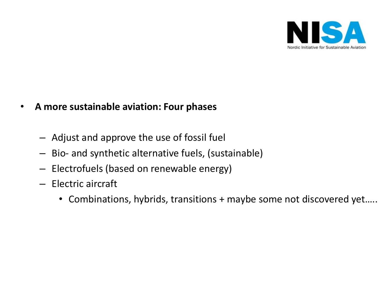

# • **A more sustainable aviation: Four phases**

- Adjust and approve the use of fossil fuel
- Bio- and synthetic alternative fuels, (sustainable)
- Electrofuels (based on renewable energy)
- Electric aircraft
	- Combinations, hybrids, transitions + maybe some not discovered yet…..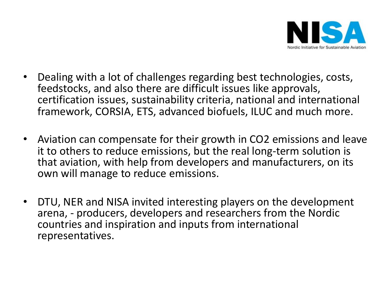

- Dealing with a lot of challenges regarding best technologies, costs, feedstocks, and also there are difficult issues like approvals, certification issues, sustainability criteria, national and international framework, CORSIA, ETS, advanced biofuels, ILUC and much more.
- Aviation can compensate for their growth in CO2 emissions and leave it to others to reduce emissions, but the real long-term solution is that aviation, with help from developers and manufacturers, on its own will manage to reduce emissions.
- DTU, NER and NISA invited interesting players on the development arena, - producers, developers and researchers from the Nordic countries and inspiration and inputs from international representatives.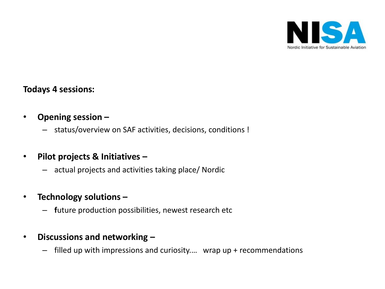

## **Todays 4 sessions:**

- **Opening session –**
	- status/overview on SAF activities, decisions, conditions !
- **Pilot projects & Initiatives –**
	- actual projects and activities taking place/ Nordic
- **Technology solutions –**
	- **f**uture production possibilities, newest research etc
- **Discussions and networking –**
	- filled up with impressions and curiosity.… wrap up + recommendations